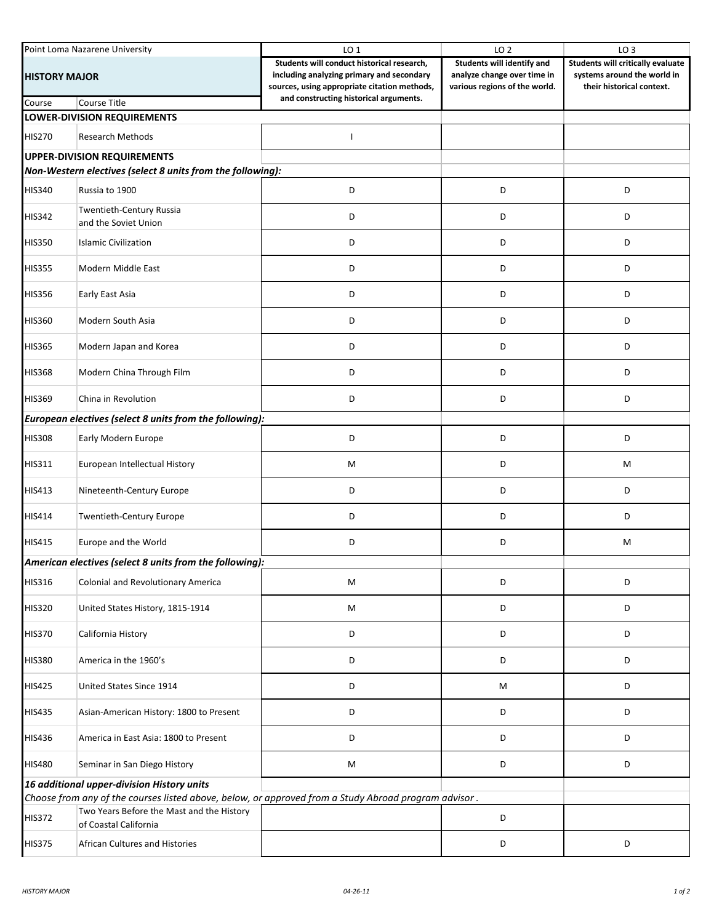| Point Loma Nazarene University                             |                                                                                                      | LO <sub>1</sub>                                                                                                                                                                   | LO <sub>2</sub>                                                                            | LO <sub>3</sub>                                                                               |  |  |  |
|------------------------------------------------------------|------------------------------------------------------------------------------------------------------|-----------------------------------------------------------------------------------------------------------------------------------------------------------------------------------|--------------------------------------------------------------------------------------------|-----------------------------------------------------------------------------------------------|--|--|--|
| <b>HISTORY MAJOR</b>                                       |                                                                                                      | Students will conduct historical research,<br>including analyzing primary and secondary<br>sources, using appropriate citation methods,<br>and constructing historical arguments. | Students will identify and<br>analyze change over time in<br>various regions of the world. | Students will critically evaluate<br>systems around the world in<br>their historical context. |  |  |  |
| Course                                                     | <b>Course Title</b>                                                                                  |                                                                                                                                                                                   |                                                                                            |                                                                                               |  |  |  |
|                                                            | <b>LOWER-DIVISION REQUIREMENTS</b>                                                                   |                                                                                                                                                                                   |                                                                                            |                                                                                               |  |  |  |
| <b>HIS270</b>                                              | <b>Research Methods</b>                                                                              |                                                                                                                                                                                   |                                                                                            |                                                                                               |  |  |  |
|                                                            | <b>UPPER-DIVISION REQUIREMENTS</b>                                                                   |                                                                                                                                                                                   |                                                                                            |                                                                                               |  |  |  |
| Non-Western electives (select 8 units from the following): |                                                                                                      |                                                                                                                                                                                   |                                                                                            |                                                                                               |  |  |  |
| <b>HIS340</b>                                              | Russia to 1900                                                                                       | D                                                                                                                                                                                 | D                                                                                          | D                                                                                             |  |  |  |
| <b>HIS342</b>                                              | Twentieth-Century Russia<br>and the Soviet Union                                                     | D                                                                                                                                                                                 | D                                                                                          | D                                                                                             |  |  |  |
| <b>HIS350</b>                                              | <b>Islamic Civilization</b>                                                                          | D                                                                                                                                                                                 | D                                                                                          | D                                                                                             |  |  |  |
| <b>HIS355</b>                                              | Modern Middle East                                                                                   | D                                                                                                                                                                                 | D                                                                                          | D                                                                                             |  |  |  |
| <b>HIS356</b>                                              | Early East Asia                                                                                      | D                                                                                                                                                                                 | D                                                                                          | D                                                                                             |  |  |  |
| <b>HIS360</b>                                              | Modern South Asia                                                                                    | D                                                                                                                                                                                 | D                                                                                          | D                                                                                             |  |  |  |
| <b>HIS365</b>                                              | Modern Japan and Korea                                                                               | D                                                                                                                                                                                 | D                                                                                          | D                                                                                             |  |  |  |
| <b>HIS368</b>                                              | Modern China Through Film                                                                            | D                                                                                                                                                                                 | D                                                                                          | D                                                                                             |  |  |  |
| <b>HIS369</b>                                              | China in Revolution                                                                                  | D                                                                                                                                                                                 | D                                                                                          | D                                                                                             |  |  |  |
| European electives (select 8 units from the following):    |                                                                                                      |                                                                                                                                                                                   |                                                                                            |                                                                                               |  |  |  |
| <b>HIS308</b>                                              | Early Modern Europe                                                                                  | D                                                                                                                                                                                 | D                                                                                          | D                                                                                             |  |  |  |
| HIS311                                                     | European Intellectual History                                                                        | М                                                                                                                                                                                 | D                                                                                          | М                                                                                             |  |  |  |
| HIS413                                                     | Nineteenth-Century Europe                                                                            | D                                                                                                                                                                                 | D                                                                                          | D                                                                                             |  |  |  |
| HIS414                                                     | Twentieth-Century Europe                                                                             | D                                                                                                                                                                                 | D                                                                                          | D                                                                                             |  |  |  |
| HIS415                                                     | Europe and the World                                                                                 | D                                                                                                                                                                                 | D                                                                                          | M                                                                                             |  |  |  |
| American electives (select 8 units from the following):    |                                                                                                      |                                                                                                                                                                                   |                                                                                            |                                                                                               |  |  |  |
| <b>HIS316</b>                                              | Colonial and Revolutionary America                                                                   | М                                                                                                                                                                                 | D                                                                                          | D                                                                                             |  |  |  |
| <b>HIS320</b>                                              | United States History, 1815-1914                                                                     | M                                                                                                                                                                                 | D                                                                                          | D                                                                                             |  |  |  |
| <b>HIS370</b>                                              | California History                                                                                   | D                                                                                                                                                                                 | D                                                                                          | D                                                                                             |  |  |  |
| <b>HIS380</b>                                              | America in the 1960's                                                                                | D                                                                                                                                                                                 | D                                                                                          | D                                                                                             |  |  |  |
| <b>HIS425</b>                                              | United States Since 1914                                                                             | D                                                                                                                                                                                 | М                                                                                          | D                                                                                             |  |  |  |
| <b>HIS435</b>                                              | Asian-American History: 1800 to Present                                                              | D                                                                                                                                                                                 | D                                                                                          | D                                                                                             |  |  |  |
| <b>HIS436</b>                                              | America in East Asia: 1800 to Present                                                                | D                                                                                                                                                                                 | D                                                                                          | D                                                                                             |  |  |  |
| <b>HIS480</b>                                              | Seminar in San Diego History                                                                         | M                                                                                                                                                                                 | D                                                                                          | D                                                                                             |  |  |  |
| 16 additional upper-division History units                 |                                                                                                      |                                                                                                                                                                                   |                                                                                            |                                                                                               |  |  |  |
|                                                            | Choose from any of the courses listed above, below, or approved from a Study Abroad program advisor. |                                                                                                                                                                                   |                                                                                            |                                                                                               |  |  |  |
| <b>HIS372</b>                                              | Two Years Before the Mast and the History<br>of Coastal California                                   |                                                                                                                                                                                   | D                                                                                          |                                                                                               |  |  |  |
| <b>HIS375</b>                                              | African Cultures and Histories                                                                       |                                                                                                                                                                                   | D                                                                                          | D                                                                                             |  |  |  |